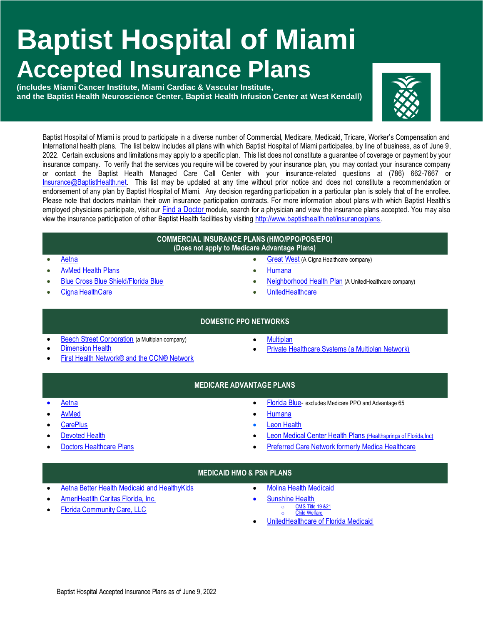# **Baptist Hospital of Miami Accepted Insurance Plans**

**(includes Miami Cancer Institute, Miami Cardiac & Vascular Institute, and the Baptist Health Neuroscience Center, Baptist Health Infusion Center at West Kendall)**



Baptist Hospital of Miami is proud to participate in a diverse number of Commercial, Medicare, Medicaid, Tricare, Worker's Compensation and International health plans. The list below includes all plans with which Baptist Hospital of Miami participates, by line of business, as of June 9, 2022. Certain exclusions and limitations may apply to a specific plan. This list does not constitute a guarantee of coverage or payment by your insurance company. To verify that the services you require will be covered by your insurance plan, you may contact your insurance company or contact the Baptist Health Managed Care Call Center with your insurance-related questions at (786) 662-7667 or [Insurance@BaptistHealth.net.](mailto:Insurance@BaptistHealth.net) This list may be updated at any time without prior notice and does not constitute a recommendation or endorsement of any plan by Baptist Hospital of Miami. Any decision regarding participation in a particular plan is solely that of the enrollee. Please note that doctors maintain their own insurance participation contracts. For more information about plans with which Baptist Health's employed physicians participate, visit our Find a [Doctor](https://baptisthealth.net/en/baptist-health-medical-group/pages/baptist-health-medical-group-doctors.aspx) module, search for a physician and view the insurance plans accepted. You may also view the insurance participation of other Baptist Health facilities by visiting [http://www.baptisthealth.net/insuranceplans.](http://www.baptisthealth.net/insuranceplans)

#### **COMMERCIAL INSURANCE PLANS (HMO/PPO/POS/EPO) (Does not apply to Medicare Advantage Plans)**

- [Aetna](https://www.aetna.com/)
- [AvMed Health Plans](https://www.avmed.org/)
- [Blue Cross Blue Shield/Florida Blue](https://www.floridablue.com/)
- [Cigna HealthCare](https://www.cigna.com/)
- [Humana](https://www.humana.com/)
- [Neighborhood Health Plan](https://www.uhc.com/) (A UnitedHealthcare company)

• [Great West](https://www.cigna.com/) (A Cigna Healthcare company)

**[UnitedHealthcare](https://www.uhc.com/)** 

# **DOMESTIC PPO NETWORKS**

- [Beech Street Corporation](https://www.beechstreet.com/Beechstreet/) (a Multiplan company)
- [Dimension Health](http://www.dimensionhealth.com/)
- [First Health Network® and the CCN® Network](https://providerlocator.firsthealth.com/home/index)
- **[Multiplan](https://www.multiplan.com/webcenter/portal/MultiPlan)**
- [Private Healthcare Systems \(a Multiplan Network\)](https://www.multiplan.com/webcenter/portal/ProviderSearch)
- **MEDICARE ADVANTAGE PLANS**

- [Aetna](https://www.aetnamedicare.com/en/var/dep-105.html?adobe_mc_sdid=SDID%3D1ECBDB1F54D3CE5D-52318EC0494D34C6%7CMCORGID%3D993B1C8B532962CD0A490D4D%40AdobeOrg%7CTS%3D1569607040&adobe_mc_ref=https%3A%2F%2Fwww.google.com%2Furl%3Fsa%3Dt%26rct%3Dj%26q%3D%26esrc%3Ds%26source%3Dweb%26cd%3D1%26ved%3D2ahUKEwi6qpbuyfHkAhXP1lkKHXNhBKQQFjAAegQIBhAC%26url%3Dhttps%253A%252F%252Fwww.aetnamedicare.com%252F%26usg%3DAOvVaw07kDjuc3Ci0wnAWgRrCnQH)
- [AvMed](https://www.avmed.org/)
- **[CarePlus](https://www.careplushealthplans.com/medicare-plans/)**
- [Devoted Health](https://www.devoted.com/)
- [Doctors Healthcare Plans](https://www.doctorshcp.com/)
- [Florida Blue-](https://www.floridablue.com/) excludes Medicare PPO and Advantage 65
- [Humana](https://www.humana.com/)
- [Leon Health](https://www.leonhealth.com/)
- [Leon Medical Center Health Plans](http://www.leonmedicalcenters.com/) (Healthsprings of Florida, Inc)
- [Preferred Care Network formerly Medica Healthcare](http://www.medicaplans.com/)

# **MEDICAID HMO & PSN PLANS**

- [Aetna Better Health Medicaid and HealthyKids](https://www.aetnabetterhealth.com/florida)
- [AmeriHeatlth Caritas Florida, Inc.](https://www.amerihealthcaritas.com/)
- [Florida Community Care, LLC](https://fcchealthplan.com/)
- [Molina Health Medicaid](https://www.molinahealthcare.com/members/fl/en-us/mem/medicaid/Pages/medicaid.aspx)
	- [Sunshine Health](https://www.sunshinehealth.com/)
		- o CMS Title 19 & 21 o Child Welfare
- [UnitedHealthcare of Florida Medicaid](https://www.uhccommunityplan.com/)